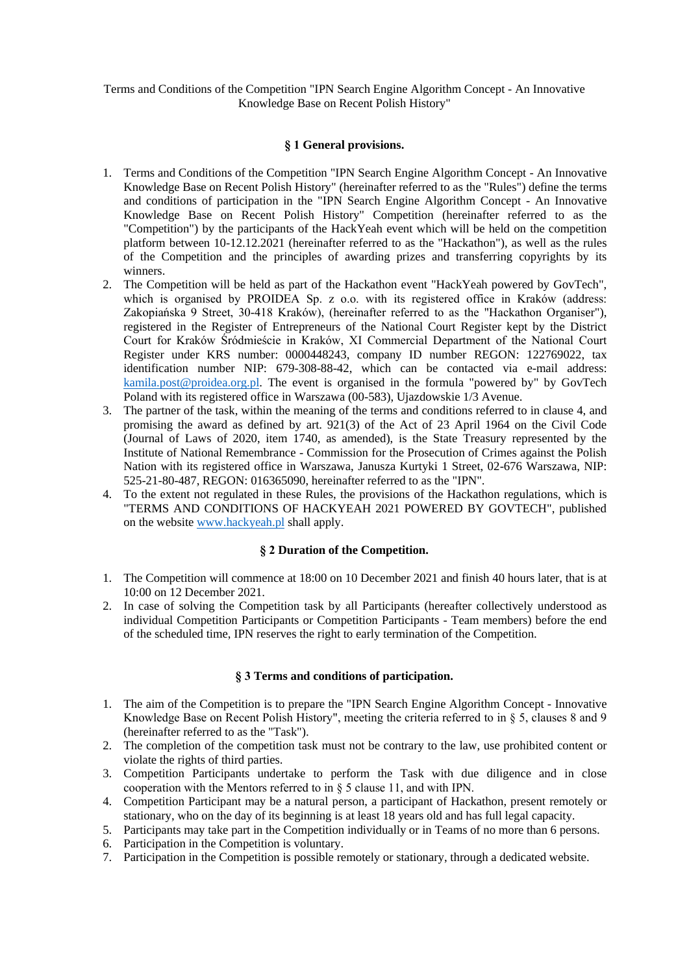Terms and Conditions of the Competition "IPN Search Engine Algorithm Concept - An Innovative Knowledge Base on Recent Polish History"

### **§ 1 General provisions.**

- 1. Terms and Conditions of the Competition "IPN Search Engine Algorithm Concept An Innovative Knowledge Base on Recent Polish History" (hereinafter referred to as the "Rules") define the terms and conditions of participation in the "IPN Search Engine Algorithm Concept - An Innovative Knowledge Base on Recent Polish History" Competition (hereinafter referred to as the "Competition") by the participants of the HackYeah event which will be held on the competition platform between 10-12.12.2021 (hereinafter referred to as the "Hackathon"), as well as the rules of the Competition and the principles of awarding prizes and transferring copyrights by its winners.
- 2. The Competition will be held as part of the Hackathon event "HackYeah powered by GovTech", which is organised by PROIDEA Sp. z o.o. with its registered office in Kraków (address: Zakopiańska 9 Street, 30-418 Kraków), (hereinafter referred to as the "Hackathon Organiser"), registered in the Register of Entrepreneurs of the National Court Register kept by the District Court for Kraków Śródmieście in Kraków, XI Commercial Department of the National Court Register under KRS number: 0000448243, company ID number REGON: 122769022, tax identification number NIP: 679-308-88-42, which can be contacted via e-mail address: [kamila.post@proidea.org.pl.](mailto:kamila.post@proidea.org.pl) The event is organised in the formula "powered by" by GovTech Poland with its registered office in Warszawa (00-583), Ujazdowskie 1/3 Avenue.
- 3. The partner of the task, within the meaning of the terms and conditions referred to in clause 4, and promising the award as defined by art. 921(3) of the Act of 23 April 1964 on the Civil Code (Journal of Laws of 2020, item 1740, as amended), is the State Treasury represented by the Institute of National Remembrance - Commission for the Prosecution of Crimes against the Polish Nation with its registered office in Warszawa, Janusza Kurtyki 1 Street, 02-676 Warszawa, NIP: 525-21-80-487, REGON: 016365090, hereinafter referred to as the "IPN".
- 4. To the extent not regulated in these Rules, the provisions of the Hackathon regulations, which is "TERMS AND CONDITIONS OF HACKYEAH 2021 POWERED BY GOVTECH", published on the website [www.hackyeah.pl](http://www.hackyeah.pl/) shall apply.

### **§ 2 Duration of the Competition.**

- 1. The Competition will commence at 18:00 on 10 December 2021 and finish 40 hours later, that is at 10:00 on 12 December 2021.
- 2. In case of solving the Competition task by all Participants (hereafter collectively understood as individual Competition Participants or Competition Participants - Team members) before the end of the scheduled time, IPN reserves the right to early termination of the Competition.

### **§ 3 Terms and conditions of participation.**

- 1. The aim of the Competition is to prepare the "IPN Search Engine Algorithm Concept Innovative Knowledge Base on Recent Polish History", meeting the criteria referred to in § 5, clauses 8 and 9 (hereinafter referred to as the "Task").
- 2. The completion of the competition task must not be contrary to the law, use prohibited content or violate the rights of third parties.
- 3. Competition Participants undertake to perform the Task with due diligence and in close cooperation with the Mentors referred to in § 5 clause 11, and with IPN.
- 4. Competition Participant may be a natural person, a participant of Hackathon, present remotely or stationary, who on the day of its beginning is at least 18 years old and has full legal capacity.
- 5. Participants may take part in the Competition individually or in Teams of no more than 6 persons.
- 6. Participation in the Competition is voluntary.
- 7. Participation in the Competition is possible remotely or stationary, through a dedicated website.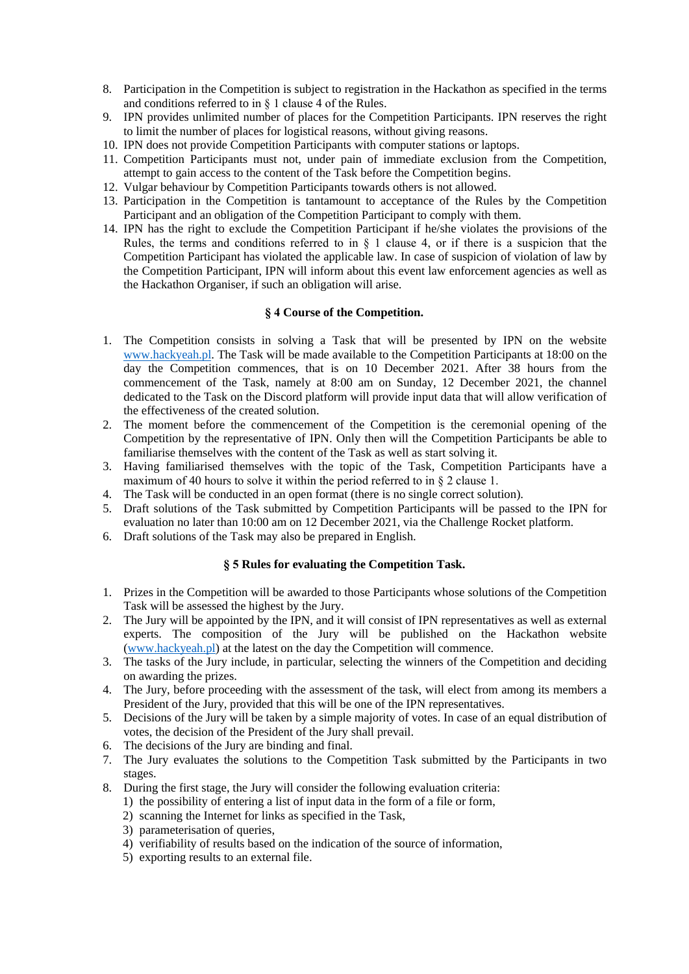- 8. Participation in the Competition is subject to registration in the Hackathon as specified in the terms and conditions referred to in § 1 clause 4 of the Rules.
- 9. IPN provides unlimited number of places for the Competition Participants. IPN reserves the right to limit the number of places for logistical reasons, without giving reasons.
- 10. IPN does not provide Competition Participants with computer stations or laptops.
- 11. Competition Participants must not, under pain of immediate exclusion from the Competition, attempt to gain access to the content of the Task before the Competition begins.
- 12. Vulgar behaviour by Competition Participants towards others is not allowed.
- 13. Participation in the Competition is tantamount to acceptance of the Rules by the Competition Participant and an obligation of the Competition Participant to comply with them.
- 14. IPN has the right to exclude the Competition Participant if he/she violates the provisions of the Rules, the terms and conditions referred to in  $\S$  1 clause 4, or if there is a suspicion that the Competition Participant has violated the applicable law. In case of suspicion of violation of law by the Competition Participant, IPN will inform about this event law enforcement agencies as well as the Hackathon Organiser, if such an obligation will arise.

# **§ 4 Course of the Competition.**

- 1. The Competition consists in solving a Task that will be presented by IPN on the website [www.hackyeah.pl.](http://www.hackyeah.pl/) The Task will be made available to the Competition Participants at 18:00 on the day the Competition commences, that is on 10 December 2021. After 38 hours from the commencement of the Task, namely at 8:00 am on Sunday, 12 December 2021, the channel dedicated to the Task on the Discord platform will provide input data that will allow verification of the effectiveness of the created solution.
- 2. The moment before the commencement of the Competition is the ceremonial opening of the Competition by the representative of IPN. Only then will the Competition Participants be able to familiarise themselves with the content of the Task as well as start solving it.
- 3. Having familiarised themselves with the topic of the Task, Competition Participants have a maximum of 40 hours to solve it within the period referred to in § 2 clause 1.
- 4. The Task will be conducted in an open format (there is no single correct solution).
- 5. Draft solutions of the Task submitted by Competition Participants will be passed to the IPN for evaluation no later than 10:00 am on 12 December 2021, via the Challenge Rocket platform.
- 6. Draft solutions of the Task may also be prepared in English.

#### **§ 5 Rules for evaluating the Competition Task.**

- 1. Prizes in the Competition will be awarded to those Participants whose solutions of the Competition Task will be assessed the highest by the Jury.
- 2. The Jury will be appointed by the IPN, and it will consist of IPN representatives as well as external experts. The composition of the Jury will be published on the Hackathon website [\(www.hackyeah.pl\)](http://www.hackyeah.pl/) at the latest on the day the Competition will commence.
- 3. The tasks of the Jury include, in particular, selecting the winners of the Competition and deciding on awarding the prizes.
- 4. The Jury, before proceeding with the assessment of the task, will elect from among its members a President of the Jury, provided that this will be one of the IPN representatives.
- 5. Decisions of the Jury will be taken by a simple majority of votes. In case of an equal distribution of votes, the decision of the President of the Jury shall prevail.
- 6. The decisions of the Jury are binding and final.
- 7. The Jury evaluates the solutions to the Competition Task submitted by the Participants in two stages.
- 8. During the first stage, the Jury will consider the following evaluation criteria:
	- 1) the possibility of entering a list of input data in the form of a file or form,
	- 2) scanning the Internet for links as specified in the Task,
	- 3) parameterisation of queries,
	- 4) verifiability of results based on the indication of the source of information,
	- 5) exporting results to an external file.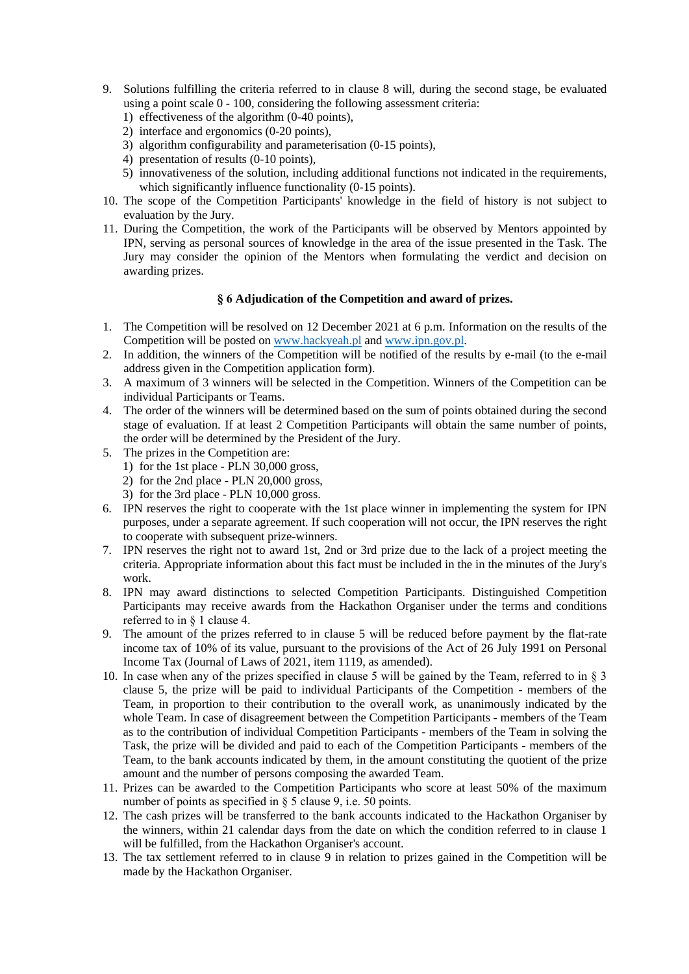- 9. Solutions fulfilling the criteria referred to in clause 8 will, during the second stage, be evaluated using a point scale 0 - 100, considering the following assessment criteria:
	- 1) effectiveness of the algorithm (0-40 points),
	- 2) interface and ergonomics (0-20 points),
	- 3) algorithm configurability and parameterisation (0-15 points),
	- 4) presentation of results (0-10 points),
	- 5) innovativeness of the solution, including additional functions not indicated in the requirements, which significantly influence functionality (0-15 points).
- 10. The scope of the Competition Participants' knowledge in the field of history is not subject to evaluation by the Jury.
- 11. During the Competition, the work of the Participants will be observed by Mentors appointed by IPN, serving as personal sources of knowledge in the area of the issue presented in the Task. The Jury may consider the opinion of the Mentors when formulating the verdict and decision on awarding prizes.

## **§ 6 Adjudication of the Competition and award of prizes.**

- 1. The Competition will be resolved on 12 December 2021 at 6 p.m. Information on the results of the Competition will be posted o[n www.hackyeah.pl](http://www.hackyeah.pl/) and [www.ipn.gov.pl.](http://www.ipn.gov.pl/)
- 2. In addition, the winners of the Competition will be notified of the results by e-mail (to the e-mail address given in the Competition application form).
- 3. A maximum of 3 winners will be selected in the Competition. Winners of the Competition can be individual Participants or Teams.
- 4. The order of the winners will be determined based on the sum of points obtained during the second stage of evaluation. If at least 2 Competition Participants will obtain the same number of points, the order will be determined by the President of the Jury.
- 5. The prizes in the Competition are:
	- 1) for the 1st place PLN 30,000 gross,
	- 2) for the 2nd place PLN 20,000 gross,
	- 3) for the 3rd place PLN 10,000 gross.
- 6. IPN reserves the right to cooperate with the 1st place winner in implementing the system for IPN purposes, under a separate agreement. If such cooperation will not occur, the IPN reserves the right to cooperate with subsequent prize-winners.
- 7. IPN reserves the right not to award 1st, 2nd or 3rd prize due to the lack of a project meeting the criteria. Appropriate information about this fact must be included in the in the minutes of the Jury's work.
- 8. IPN may award distinctions to selected Competition Participants. Distinguished Competition Participants may receive awards from the Hackathon Organiser under the terms and conditions referred to in § 1 clause 4.
- 9. The amount of the prizes referred to in clause 5 will be reduced before payment by the flat-rate income tax of 10% of its value, pursuant to the provisions of the Act of 26 July 1991 on Personal Income Tax (Journal of Laws of 2021, item 1119, as amended).
- 10. In case when any of the prizes specified in clause 5 will be gained by the Team, referred to in § 3 clause 5, the prize will be paid to individual Participants of the Competition - members of the Team, in proportion to their contribution to the overall work, as unanimously indicated by the whole Team. In case of disagreement between the Competition Participants - members of the Team as to the contribution of individual Competition Participants - members of the Team in solving the Task, the prize will be divided and paid to each of the Competition Participants - members of the Team, to the bank accounts indicated by them, in the amount constituting the quotient of the prize amount and the number of persons composing the awarded Team.
- 11. Prizes can be awarded to the Competition Participants who score at least 50% of the maximum number of points as specified in § 5 clause 9, i.e. 50 points.
- 12. The cash prizes will be transferred to the bank accounts indicated to the Hackathon Organiser by the winners, within 21 calendar days from the date on which the condition referred to in clause 1 will be fulfilled, from the Hackathon Organiser's account.
- 13. The tax settlement referred to in clause 9 in relation to prizes gained in the Competition will be made by the Hackathon Organiser.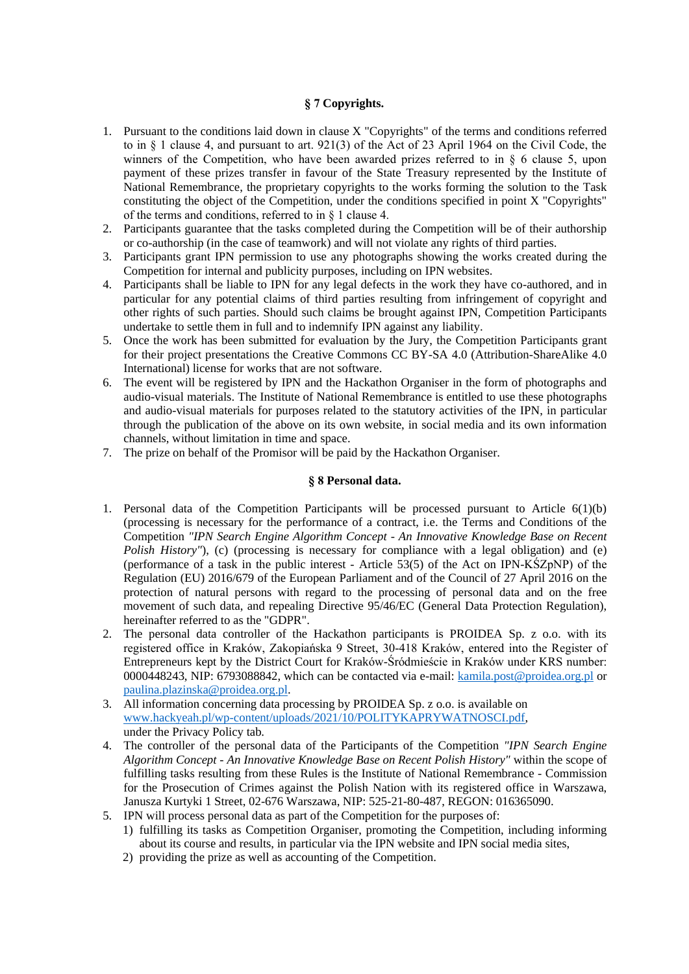# **§ 7 Copyrights.**

- 1. Pursuant to the conditions laid down in clause X "Copyrights" of the terms and conditions referred to in § 1 clause 4, and pursuant to art. 921(3) of the Act of 23 April 1964 on the Civil Code, the winners of the Competition, who have been awarded prizes referred to in  $\S$  6 clause 5, upon payment of these prizes transfer in favour of the State Treasury represented by the Institute of National Remembrance, the proprietary copyrights to the works forming the solution to the Task constituting the object of the Competition, under the conditions specified in point X "Copyrights" of the terms and conditions, referred to in § 1 clause 4.
- 2. Participants guarantee that the tasks completed during the Competition will be of their authorship or co-authorship (in the case of teamwork) and will not violate any rights of third parties.
- 3. Participants grant IPN permission to use any photographs showing the works created during the Competition for internal and publicity purposes, including on IPN websites.
- 4. Participants shall be liable to IPN for any legal defects in the work they have co-authored, and in particular for any potential claims of third parties resulting from infringement of copyright and other rights of such parties. Should such claims be brought against IPN, Competition Participants undertake to settle them in full and to indemnify IPN against any liability.
- 5. Once the work has been submitted for evaluation by the Jury, the Competition Participants grant for their project presentations the Creative Commons CC BY-SA 4.0 (Attribution-ShareAlike 4.0 International) license for works that are not software.
- 6. The event will be registered by IPN and the Hackathon Organiser in the form of photographs and audio-visual materials. The Institute of National Remembrance is entitled to use these photographs and audio-visual materials for purposes related to the statutory activities of the IPN, in particular through the publication of the above on its own website, in social media and its own information channels, without limitation in time and space.
- 7. The prize on behalf of the Promisor will be paid by the Hackathon Organiser.

### **§ 8 Personal data.**

- 1. Personal data of the Competition Participants will be processed pursuant to Article 6(1)(b) (processing is necessary for the performance of a contract, i.e. the Terms and Conditions of the Competition *"IPN Search Engine Algorithm Concept - An Innovative Knowledge Base on Recent Polish History"*), (c) (processing is necessary for compliance with a legal obligation) and (e) (performance of a task in the public interest - Article 53(5) of the Act on IPN-KŚZpNP) of the Regulation (EU) 2016/679 of the European Parliament and of the Council of 27 April 2016 on the protection of natural persons with regard to the processing of personal data and on the free movement of such data, and repealing Directive 95/46/EC (General Data Protection Regulation), hereinafter referred to as the "GDPR".
- 2. The personal data controller of the Hackathon participants is PROIDEA Sp. z o.o. with its registered office in Kraków, Zakopiańska 9 Street, 30-418 Kraków, entered into the Register of Entrepreneurs kept by the District Court for Kraków-Śródmieście in Kraków under KRS number: 0000448243, NIP: 6793088842, which can be contacted via e-mail: [kamila.post@proidea.org.pl](mailto:kamila.post@proidea.org.pl) or [paulina.plazinska@proidea.org.pl.](mailto:paulina.plazinska@proidea.org.pl)
- 3. All information concerning data processing by PROIDEA Sp. z o.o. is available on [www.hackyeah.pl/wp-content/uploads/2021/10/POLITYKAPRYWATNOSCI.pdf,](http://www.hackyeah.pl/wp-content/uploads/2021/10/POLITYKAPRYWATNOSCI.pdf) under the Privacy Policy tab.
- 4. The controller of the personal data of the Participants of the Competition *"IPN Search Engine Algorithm Concept - An Innovative Knowledge Base on Recent Polish History"* within the scope of fulfilling tasks resulting from these Rules is the Institute of National Remembrance - Commission for the Prosecution of Crimes against the Polish Nation with its registered office in Warszawa, Janusza Kurtyki 1 Street, 02-676 Warszawa, NIP: 525-21-80-487, REGON: 016365090.
- 5. IPN will process personal data as part of the Competition for the purposes of:
	- 1) fulfilling its tasks as Competition Organiser, promoting the Competition, including informing about its course and results, in particular via the IPN website and IPN social media sites,
	- 2) providing the prize as well as accounting of the Competition.